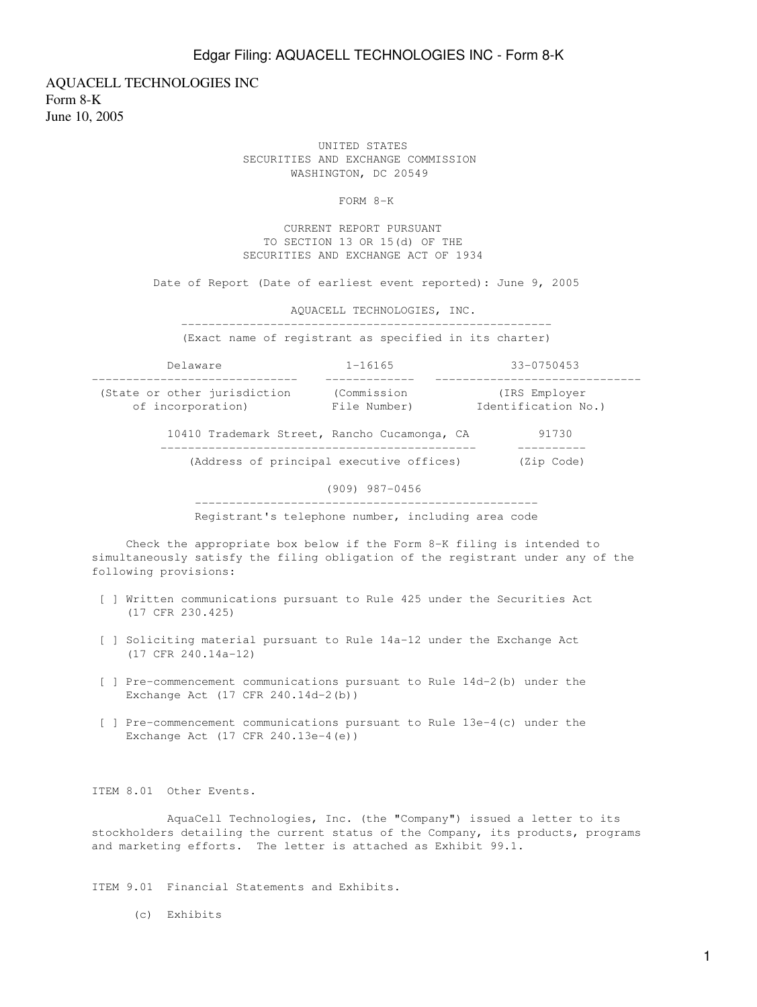AQUACELL TECHNOLOGIES INC Form 8-K June 10, 2005

> UNITED STATES SECURITIES AND EXCHANGE COMMISSION WASHINGTON, DC 20549

> > FORM 8-K

 CURRENT REPORT PURSUANT TO SECTION 13 OR 15(d) OF THE SECURITIES AND EXCHANGE ACT OF 1934

Date of Report (Date of earliest event reported): June 9, 2005

AQUACELL TECHNOLOGIES, INC.

 ------------------------------------------------------ (Exact name of registrant as specified in its charter)

 Delaware 1-16165 33-0750453 ------------------------------ ------------- ------------------------------

| (State or other jurisdiction | (Commission  | (IRS Employer       |
|------------------------------|--------------|---------------------|
| of incorporation)            | File Number) | Identification No.) |

|  |  | 10410 Trademark Street, Rancho Cucamonga, CA | 91730      |
|--|--|----------------------------------------------|------------|
|  |  |                                              |            |
|  |  | (Address of principal executive offices)     | (Zip Code) |

(909) 987-0456

Registrant's telephone number, including area code

 Check the appropriate box below if the Form 8-K filing is intended to simultaneously satisfy the filing obligation of the registrant under any of the following provisions:

 [ ] Written communications pursuant to Rule 425 under the Securities Act (17 CFR 230.425)

--------------------------------------------------

- [ ] Soliciting material pursuant to Rule 14a-12 under the Exchange Act (17 CFR 240.14a-12)
- [ ] Pre-commencement communications pursuant to Rule 14d-2(b) under the Exchange Act (17 CFR 240.14d-2(b))
- [ ] Pre-commencement communications pursuant to Rule 13e-4(c) under the Exchange Act (17 CFR 240.13e-4(e))

ITEM 8.01 Other Events.

 AquaCell Technologies, Inc. (the "Company") issued a letter to its stockholders detailing the current status of the Company, its products, programs and marketing efforts. The letter is attached as Exhibit 99.1.

ITEM 9.01 Financial Statements and Exhibits.

(c) Exhibits